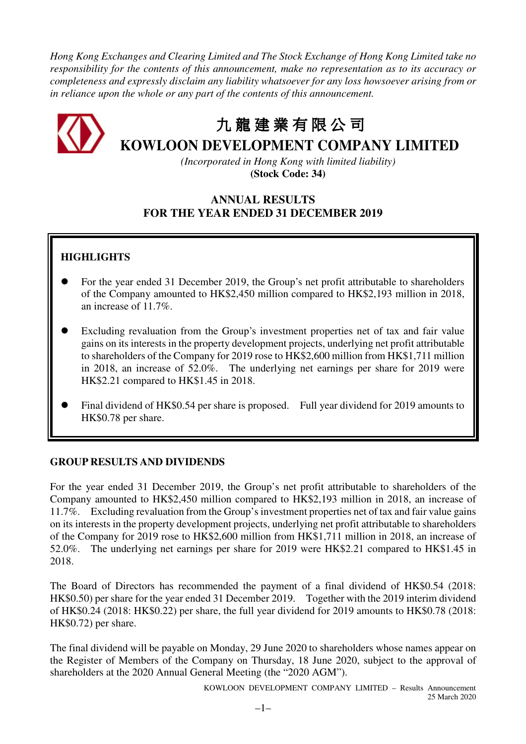*Hong Kong Exchanges and Clearing Limited and The Stock Exchange of Hong Kong Limited take no responsibility for the contents of this announcement, make no representation as to its accuracy or completeness and expressly disclaim any liability whatsoever for any loss howsoever arising from or in reliance upon the whole or any part of the contents of this announcement.* 



# 九 龍 建 業 有 限 公 司

# **KOWLOON DEVELOPMENT COMPANY LIMITED**

*(Incorporated in Hong Kong with limited liability)*  **(Stock Code: 34)** 

### **ANNUAL RESULTS FOR THE YEAR ENDED 31 DECEMBER 2019**

## **HIGHLIGHTS**

- For the year ended 31 December 2019, the Group's net profit attributable to shareholders of the Company amounted to HK\$2,450 million compared to HK\$2,193 million in 2018, an increase of 11.7%.
- Excluding revaluation from the Group's investment properties net of tax and fair value gains on its interests in the property development projects, underlying net profit attributable to shareholders of the Company for 2019 rose to HK\$2,600 million from HK\$1,711 million in 2018, an increase of 52.0%. The underlying net earnings per share for 2019 were HK\$2.21 compared to HK\$1.45 in 2018.
- Final dividend of HK\$0.54 per share is proposed. Full year dividend for 2019 amounts to HK\$0.78 per share.

### **GROUP RESULTS AND DIVIDENDS**

For the year ended 31 December 2019, the Group's net profit attributable to shareholders of the Company amounted to HK\$2,450 million compared to HK\$2,193 million in 2018, an increase of 11.7%. Excluding revaluation from the Group's investment properties net of tax and fair value gains on its interests in the property development projects, underlying net profit attributable to shareholders of the Company for 2019 rose to HK\$2,600 million from HK\$1,711 million in 2018, an increase of 52.0%. The underlying net earnings per share for 2019 were HK\$2.21 compared to HK\$1.45 in 2018.

The Board of Directors has recommended the payment of a final dividend of HK\$0.54 (2018: HK\$0.50) per share for the year ended 31 December 2019. Together with the 2019 interim dividend of HK\$0.24 (2018: HK\$0.22) per share, the full year dividend for 2019 amounts to HK\$0.78 (2018: HK\$0.72) per share.

The final dividend will be payable on Monday, 29 June 2020 to shareholders whose names appear on the Register of Members of the Company on Thursday, 18 June 2020, subject to the approval of shareholders at the 2020 Annual General Meeting (the "2020 AGM").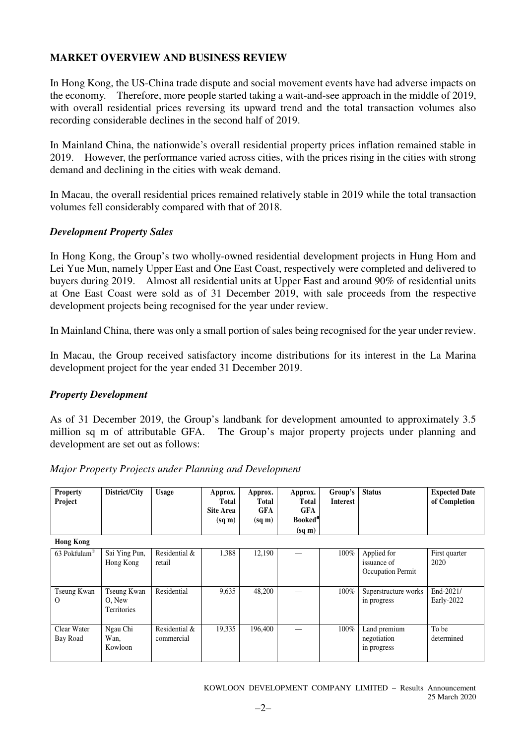### **MARKET OVERVIEW AND BUSINESS REVIEW**

In Hong Kong, the US-China trade dispute and social movement events have had adverse impacts on the economy. Therefore, more people started taking a wait-and-see approach in the middle of 2019, with overall residential prices reversing its upward trend and the total transaction volumes also recording considerable declines in the second half of 2019.

In Mainland China, the nationwide's overall residential property prices inflation remained stable in 2019. However, the performance varied across cities, with the prices rising in the cities with strong demand and declining in the cities with weak demand.

In Macau, the overall residential prices remained relatively stable in 2019 while the total transaction volumes fell considerably compared with that of 2018.

### *Development Property Sales*

In Hong Kong, the Group's two wholly-owned residential development projects in Hung Hom and Lei Yue Mun, namely Upper East and One East Coast, respectively were completed and delivered to buyers during 2019. Almost all residential units at Upper East and around 90% of residential units at One East Coast were sold as of 31 December 2019, with sale proceeds from the respective development projects being recognised for the year under review.

In Mainland China, there was only a small portion of sales being recognised for the year under review.

In Macau, the Group received satisfactory income distributions for its interest in the La Marina development project for the year ended 31 December 2019.

### *Property Development*

As of 31 December 2019, the Group's landbank for development amounted to approximately 3.5 million sq m of attributable GFA. The Group's major property projects under planning and development are set out as follows:

| <b>Property</b><br>Project | District/City                        | <b>Usage</b>                | Approx.<br>Total<br><b>Site Area</b><br>$(sq \, \text{m})$ | Approx.<br>Total<br><b>GFA</b><br>$(sq \, \text{m})$ | Approx.<br>Total<br><b>GFA</b><br>Booked <sup>*</sup><br>$(sq \, m)$ | Group's<br><b>Interest</b> | <b>Status</b>                                   | <b>Expected Date</b><br>of Completion |
|----------------------------|--------------------------------------|-----------------------------|------------------------------------------------------------|------------------------------------------------------|----------------------------------------------------------------------|----------------------------|-------------------------------------------------|---------------------------------------|
| <b>Hong Kong</b>           |                                      |                             |                                                            |                                                      |                                                                      |                            |                                                 |                                       |
| 63 Pokfulam®               | Sai Ying Pun,<br>Hong Kong           | Residential &<br>retail     | 1,388                                                      | 12,190                                               |                                                                      | 100%                       | Applied for<br>issuance of<br>Occupation Permit | First quarter<br>2020                 |
| Tseung Kwan<br>$\Omega$    | Tseung Kwan<br>O, New<br>Territories | Residential                 | 9,635                                                      | 48,200                                               |                                                                      | 100%                       | Superstructure works<br>in progress             | End-2021/<br>Early-2022               |
| Clear Water<br>Bay Road    | Ngau Chi<br>Wan,<br>Kowloon          | Residential &<br>commercial | 19,335                                                     | 196.400                                              |                                                                      | 100%                       | Land premium<br>negotiation<br>in progress      | To be<br>determined                   |

### *Major Property Projects under Planning and Development*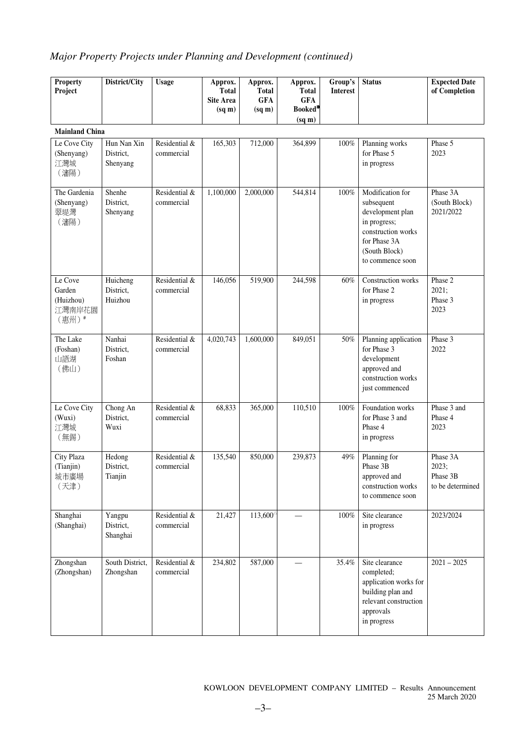## *Major Property Projects under Planning and Development (continued)*

| <b>Property</b><br>Project                        | District/City                        | <b>Usage</b>                | Approx.<br><b>Total</b><br><b>Site Area</b><br>$(sq \, \text{m})$ | Approx.<br><b>Total</b><br><b>GFA</b><br>$(sq \, m)$ | Approx.<br><b>Total</b><br><b>GFA</b><br>Booked <sup>®</sup><br>$(sq \, \text{m})$ | Group's<br><b>Interest</b> | <b>Status</b>                                                                                                                                 | <b>Expected Date</b><br>of Completion             |
|---------------------------------------------------|--------------------------------------|-----------------------------|-------------------------------------------------------------------|------------------------------------------------------|------------------------------------------------------------------------------------|----------------------------|-----------------------------------------------------------------------------------------------------------------------------------------------|---------------------------------------------------|
| <b>Mainland China</b>                             |                                      |                             |                                                                   |                                                      |                                                                                    |                            |                                                                                                                                               |                                                   |
| Le Cove City<br>(Shenyang)<br>江灣城<br>(瀋陽)         | Hun Nan Xin<br>District,<br>Shenyang | Residential &<br>commercial | 165,303                                                           | 712,000                                              | 364,899                                                                            | 100%                       | Planning works<br>for Phase 5<br>in progress                                                                                                  | Phase 5<br>2023                                   |
| The Gardenia<br>(Shenyang)<br>翠堤灣<br>(瀋陽)         | Shenhe<br>District.<br>Shenyang      | Residential &<br>commercial | 1,100,000                                                         | 2,000,000                                            | 544,814                                                                            | 100%                       | Modification for<br>subsequent<br>development plan<br>in progress;<br>construction works<br>for Phase 3A<br>(South Block)<br>to commence soon | Phase 3A<br>(South Block)<br>2021/2022            |
| Le Cove<br>Garden<br>(Huizhou)<br>江灣南岸花園<br>(惠州)# | Huicheng<br>District,<br>Huizhou     | Residential &<br>commercial | 146,056                                                           | 519,900                                              | 244,598                                                                            | 60%                        | Construction works<br>for Phase 2<br>in progress                                                                                              | Phase 2<br>2021;<br>Phase 3<br>2023               |
| The Lake<br>(Foshan)<br>山語湖<br>(佛山)               | Nanhai<br>District,<br>Foshan        | Residential &<br>commercial | 4,020,743                                                         | 1,600,000                                            | 849,051                                                                            | 50%                        | Planning application<br>for Phase 3<br>development<br>approved and<br>construction works<br>just commenced                                    | Phase 3<br>2022                                   |
| Le Cove City<br>(Wuxi)<br>江灣城<br>(無錫)             | Chong An<br>District,<br>Wuxi        | Residential &<br>commercial | 68,833                                                            | 365,000                                              | 110,510                                                                            | 100%                       | Foundation works<br>for Phase 3 and<br>Phase 4<br>in progress                                                                                 | Phase 3 and<br>Phase 4<br>2023                    |
| City Plaza<br>(Tianjin)<br>城市廣場<br>(天津)           | Hedong<br>District,<br>Tianjin       | Residential &<br>commercial | 135,540                                                           | 850,000                                              | 239,873                                                                            | 49%                        | Planning for<br>Phase 3B<br>approved and<br>construction works<br>to commence soon                                                            | Phase 3A<br>2023;<br>Phase 3B<br>to be determined |
| Shanghai<br>(Shanghai)                            | Yangpu<br>District,<br>Shanghai      | Residential &<br>commercial | 21,427                                                            | $113,600^{\circ}$                                    |                                                                                    | $100\%$                    | Site clearance<br>in progress                                                                                                                 | 2023/2024                                         |
| Zhongshan<br>(Zhongshan)                          | South District,<br>Zhongshan         | Residential &<br>commercial | 234,802                                                           | 587,000                                              |                                                                                    | 35.4%                      | Site clearance<br>completed;<br>application works for<br>building plan and<br>relevant construction<br>approvals<br>in progress               | $2021 - 2025$                                     |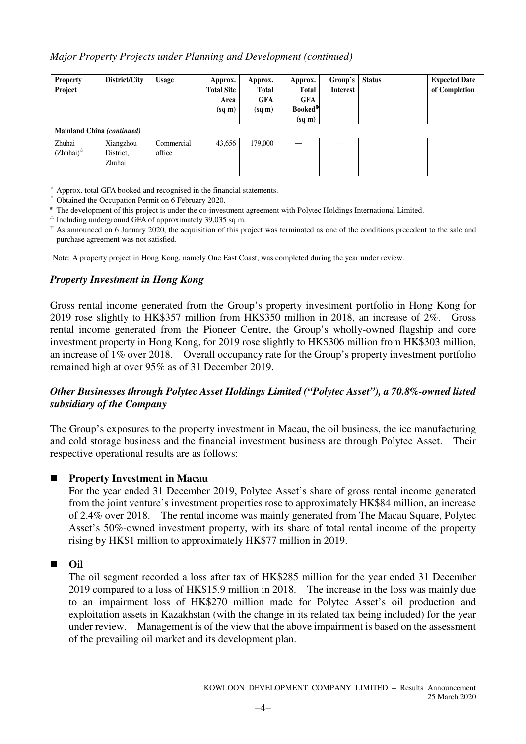### *Major Property Projects under Planning and Development (continued)*

| <b>Property</b><br>Project | District/City                    | <b>Usage</b>         | Approx.<br><b>Total Site</b><br>Area<br>$(sq \, \text{m})$ | Approx.<br>Total<br>GFA<br>$(sq \, \text{m})$ | Approx.<br><b>Total</b><br><b>GFA</b><br>Booked <sup>*</sup><br>$(sq \, \text{m})$ | Group's<br><b>Interest</b> | <b>Status</b> | <b>Expected Date</b><br>of Completion |
|----------------------------|----------------------------------|----------------------|------------------------------------------------------------|-----------------------------------------------|------------------------------------------------------------------------------------|----------------------------|---------------|---------------------------------------|
| Mainland China (continued) |                                  |                      |                                                            |                                               |                                                                                    |                            |               |                                       |
| Zhuhai<br>$(Zhuhai)^{\pi}$ | Xiangzhou<br>District,<br>Zhuhai | Commercial<br>office | 43,656                                                     | 179,000                                       |                                                                                    |                            |               |                                       |

※ Approx. total GFA booked and recognised in the financial statements.

<sup>⊕</sup> Obtained the Occupation Permit on 6 February 2020.

# The development of this project is under the co-investment agreement with Polytec Holdings International Limited.

 $\triangle$  Including underground GFA of approximately 39,035 sq m.

\* As announced on 6 January 2020, the acquisition of this project was terminated as one of the conditions precedent to the sale and purchase agreement was not satisfied.

Note: A property project in Hong Kong, namely One East Coast, was completed during the year under review.

### *Property Investment in Hong Kong*

Gross rental income generated from the Group's property investment portfolio in Hong Kong for 2019 rose slightly to HK\$357 million from HK\$350 million in 2018, an increase of 2%. Gross rental income generated from the Pioneer Centre, the Group's wholly-owned flagship and core investment property in Hong Kong, for 2019 rose slightly to HK\$306 million from HK\$303 million, an increase of 1% over 2018. Overall occupancy rate for the Group's property investment portfolio remained high at over 95% as of 31 December 2019.

### *Other Businesses through Polytec Asset Holdings Limited ("Polytec Asset"), a 70.8%-owned listed subsidiary of the Company*

The Group's exposures to the property investment in Macau, the oil business, the ice manufacturing and cold storage business and the financial investment business are through Polytec Asset. Their respective operational results are as follows:

#### -**Property Investment in Macau**

For the year ended 31 December 2019, Polytec Asset's share of gross rental income generated from the joint venture's investment properties rose to approximately HK\$84 million, an increase of 2.4% over 2018. The rental income was mainly generated from The Macau Square, Polytec Asset's 50%-owned investment property, with its share of total rental income of the property rising by HK\$1 million to approximately HK\$77 million in 2019.

### ■ Oil

The oil segment recorded a loss after tax of HK\$285 million for the year ended 31 December 2019 compared to a loss of HK\$15.9 million in 2018. The increase in the loss was mainly due to an impairment loss of HK\$270 million made for Polytec Asset's oil production and exploitation assets in Kazakhstan (with the change in its related tax being included) for the year under review. Management is of the view that the above impairment is based on the assessment of the prevailing oil market and its development plan.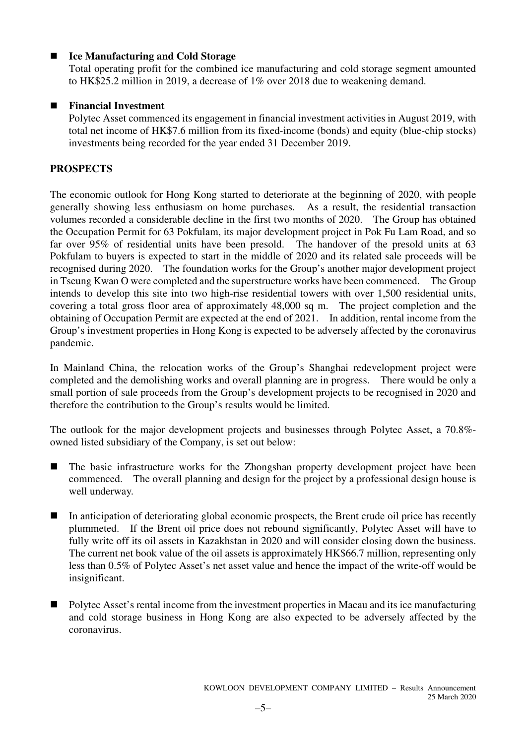#### -**Ice Manufacturing and Cold Storage**

Total operating profit for the combined ice manufacturing and cold storage segment amounted to HK\$25.2 million in 2019, a decrease of 1% over 2018 due to weakening demand.

### - **Financial Investment**

Polytec Asset commenced its engagement in financial investment activities in August 2019, with total net income of HK\$7.6 million from its fixed-income (bonds) and equity (blue-chip stocks) investments being recorded for the year ended 31 December 2019.

### **PROSPECTS**

The economic outlook for Hong Kong started to deteriorate at the beginning of 2020, with people generally showing less enthusiasm on home purchases. As a result, the residential transaction volumes recorded a considerable decline in the first two months of 2020. The Group has obtained the Occupation Permit for 63 Pokfulam, its major development project in Pok Fu Lam Road, and so far over 95% of residential units have been presold. The handover of the presold units at 63 Pokfulam to buyers is expected to start in the middle of 2020 and its related sale proceeds will be recognised during 2020. The foundation works for the Group's another major development project in Tseung Kwan O were completed and the superstructure works have been commenced. The Group intends to develop this site into two high-rise residential towers with over 1,500 residential units, covering a total gross floor area of approximately 48,000 sq m. The project completion and the obtaining of Occupation Permit are expected at the end of 2021. In addition, rental income from the Group's investment properties in Hong Kong is expected to be adversely affected by the coronavirus pandemic.

In Mainland China, the relocation works of the Group's Shanghai redevelopment project were completed and the demolishing works and overall planning are in progress. There would be only a small portion of sale proceeds from the Group's development projects to be recognised in 2020 and therefore the contribution to the Group's results would be limited.

The outlook for the major development projects and businesses through Polytec Asset, a 70.8% owned listed subsidiary of the Company, is set out below:

- - The basic infrastructure works for the Zhongshan property development project have been commenced. The overall planning and design for the project by a professional design house is well underway.
- - In anticipation of deteriorating global economic prospects, the Brent crude oil price has recently plummeted. If the Brent oil price does not rebound significantly, Polytec Asset will have to fully write off its oil assets in Kazakhstan in 2020 and will consider closing down the business. The current net book value of the oil assets is approximately HK\$66.7 million, representing only less than 0.5% of Polytec Asset's net asset value and hence the impact of the write-off would be insignificant.
- - Polytec Asset's rental income from the investment properties in Macau and its ice manufacturing and cold storage business in Hong Kong are also expected to be adversely affected by the coronavirus.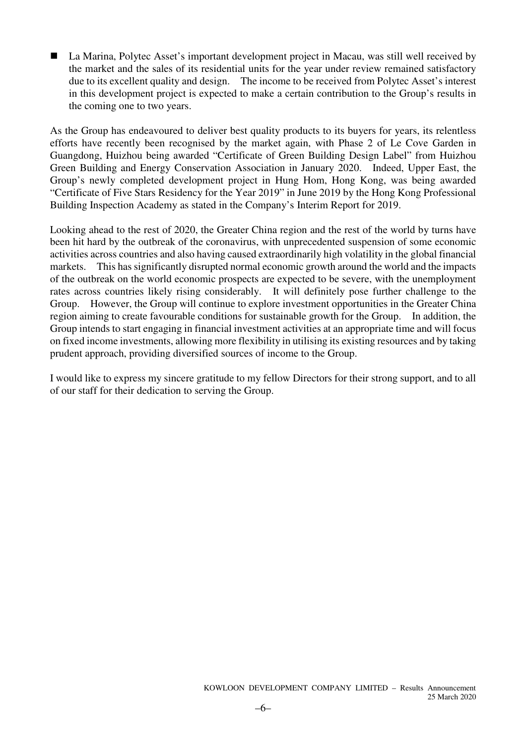■ La Marina, Polytec Asset's important development project in Macau, was still well received by the market and the sales of its residential units for the year under review remained satisfactory due to its excellent quality and design. The income to be received from Polytec Asset's interest in this development project is expected to make a certain contribution to the Group's results in the coming one to two years.

As the Group has endeavoured to deliver best quality products to its buyers for years, its relentless efforts have recently been recognised by the market again, with Phase 2 of Le Cove Garden in Guangdong, Huizhou being awarded "Certificate of Green Building Design Label" from Huizhou Green Building and Energy Conservation Association in January 2020. Indeed, Upper East, the Group's newly completed development project in Hung Hom, Hong Kong, was being awarded "Certificate of Five Stars Residency for the Year 2019" in June 2019 by the Hong Kong Professional Building Inspection Academy as stated in the Company's Interim Report for 2019.

Looking ahead to the rest of 2020, the Greater China region and the rest of the world by turns have been hit hard by the outbreak of the coronavirus, with unprecedented suspension of some economic activities across countries and also having caused extraordinarily high volatility in the global financial markets. This has significantly disrupted normal economic growth around the world and the impacts of the outbreak on the world economic prospects are expected to be severe, with the unemployment rates across countries likely rising considerably. It will definitely pose further challenge to the Group. However, the Group will continue to explore investment opportunities in the Greater China region aiming to create favourable conditions for sustainable growth for the Group. In addition, the Group intends to start engaging in financial investment activities at an appropriate time and will focus on fixed income investments, allowing more flexibility in utilising its existing resources and by taking prudent approach, providing diversified sources of income to the Group.

I would like to express my sincere gratitude to my fellow Directors for their strong support, and to all of our staff for their dedication to serving the Group.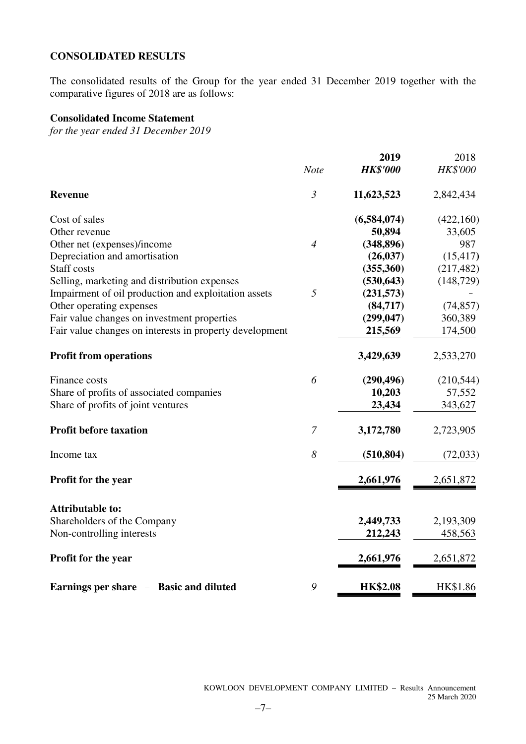### **CONSOLIDATED RESULTS**

The consolidated results of the Group for the year ended 31 December 2019 together with the comparative figures of 2018 are as follows:

### **Consolidated Income Statement**

*for the year ended 31 December 2019* 

|                                                         |                | 2019            | 2018            |
|---------------------------------------------------------|----------------|-----------------|-----------------|
|                                                         | <b>Note</b>    | <b>HK\$'000</b> | <b>HK\$'000</b> |
| <b>Revenue</b>                                          | $\mathfrak{Z}$ | 11,623,523      | 2,842,434       |
| Cost of sales                                           |                | (6,584,074)     | (422,160)       |
| Other revenue                                           |                | 50,894          | 33,605          |
| Other net (expenses)/income                             | $\overline{4}$ | (348, 896)      | 987             |
| Depreciation and amortisation                           |                | (26, 037)       | (15, 417)       |
| <b>Staff</b> costs                                      |                | (355,360)       | (217, 482)      |
| Selling, marketing and distribution expenses            |                | (530, 643)      | (148, 729)      |
| Impairment of oil production and exploitation assets    | 5              | (231,573)       |                 |
| Other operating expenses                                |                | (84,717)        | (74, 857)       |
| Fair value changes on investment properties             |                | (299, 047)      | 360,389         |
| Fair value changes on interests in property development |                | 215,569         | 174,500         |
| <b>Profit from operations</b>                           |                | 3,429,639       | 2,533,270       |
| Finance costs                                           | 6              | (290, 496)      | (210, 544)      |
| Share of profits of associated companies                |                | 10,203          | 57,552          |
| Share of profits of joint ventures                      |                | 23,434          | 343,627         |
| <b>Profit before taxation</b>                           | $\mathcal{I}$  | 3,172,780       | 2,723,905       |
| Income tax                                              | 8              | (510, 804)      | (72, 033)       |
| Profit for the year                                     |                | 2,661,976       | 2,651,872       |
| <b>Attributable to:</b>                                 |                |                 |                 |
| Shareholders of the Company                             |                | 2,449,733       | 2,193,309       |
| Non-controlling interests                               |                | 212,243         | 458,563         |
| Profit for the year                                     |                | 2,661,976       | 2,651,872       |
| Earnings per share - Basic and diluted                  | 9              | <b>HK\$2.08</b> | HK\$1.86        |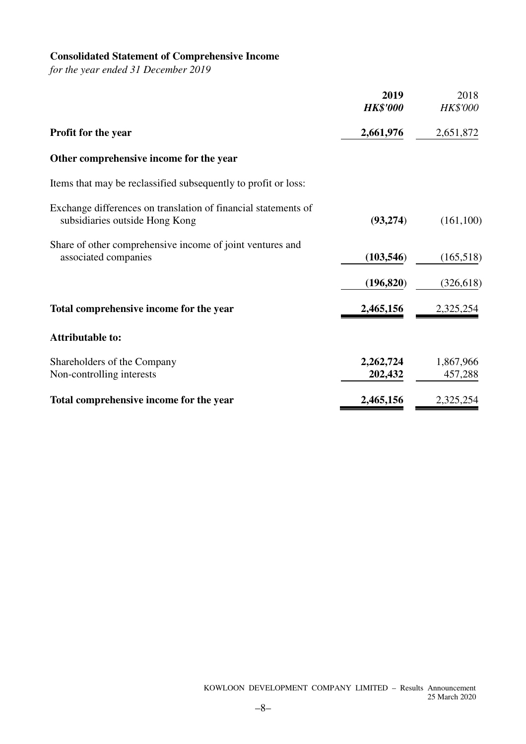## **Consolidated Statement of Comprehensive Income**

*for the year ended 31 December 2019* 

|                                                                                                  | 2019<br><b>HK\$'000</b> | 2018<br>HK\$'000     |
|--------------------------------------------------------------------------------------------------|-------------------------|----------------------|
| Profit for the year                                                                              | 2,661,976               | 2,651,872            |
| Other comprehensive income for the year                                                          |                         |                      |
| Items that may be reclassified subsequently to profit or loss:                                   |                         |                      |
| Exchange differences on translation of financial statements of<br>subsidiaries outside Hong Kong | (93, 274)               | (161, 100)           |
| Share of other comprehensive income of joint ventures and<br>associated companies                | (103, 546)              | (165,518)            |
|                                                                                                  | (196, 820)              | (326, 618)           |
| Total comprehensive income for the year                                                          | 2,465,156               | 2,325,254            |
| <b>Attributable to:</b>                                                                          |                         |                      |
| Shareholders of the Company<br>Non-controlling interests                                         | 2,262,724<br>202,432    | 1,867,966<br>457,288 |
| Total comprehensive income for the year                                                          | 2,465,156               | 2,325,254            |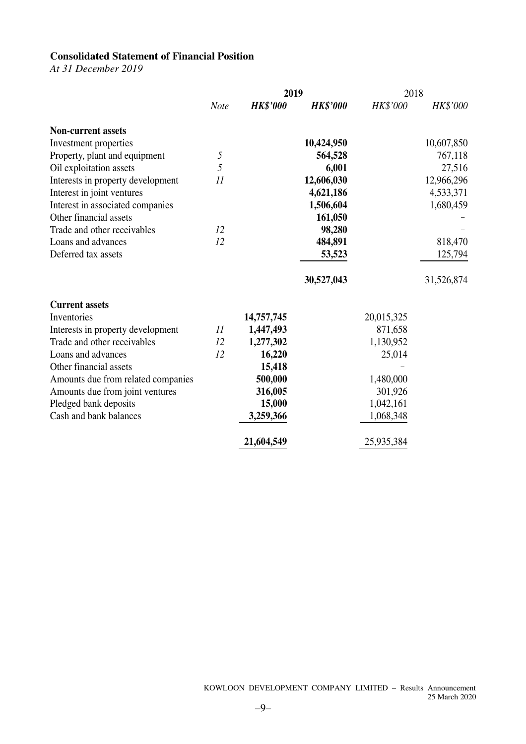### **Consolidated Statement of Financial Position**

*At 31 December 2019* 

|                                    |               | 2019            |                 | 2018       |            |
|------------------------------------|---------------|-----------------|-----------------|------------|------------|
|                                    | <b>Note</b>   | <b>HK\$'000</b> | <b>HK\$'000</b> | HK\$'000   | HK\$'000   |
| <b>Non-current assets</b>          |               |                 |                 |            |            |
| Investment properties              |               |                 | 10,424,950      |            | 10,607,850 |
| Property, plant and equipment      | 5             |                 | 564,528         |            | 767,118    |
| Oil exploitation assets            | 5             |                 | 6,001           |            | 27,516     |
| Interests in property development  | 11            |                 | 12,606,030      |            | 12,966,296 |
| Interest in joint ventures         |               |                 | 4,621,186       |            | 4,533,371  |
| Interest in associated companies   |               |                 | 1,506,604       |            | 1,680,459  |
| Other financial assets             |               |                 | 161,050         |            |            |
| Trade and other receivables        | 12            |                 | 98,280          |            |            |
| Loans and advances                 | 12            |                 | 484,891         |            | 818,470    |
| Deferred tax assets                |               |                 | 53,523          |            | 125,794    |
|                                    |               |                 | 30,527,043      |            | 31,526,874 |
| <b>Current assets</b>              |               |                 |                 |            |            |
| Inventories                        |               | 14,757,745      |                 | 20,015,325 |            |
| Interests in property development  | $\mathcal{I}$ | 1,447,493       |                 | 871,658    |            |
| Trade and other receivables        | 12            | 1,277,302       |                 | 1,130,952  |            |
| Loans and advances                 | 12            | 16,220          |                 | 25,014     |            |
| Other financial assets             |               | 15,418          |                 |            |            |
| Amounts due from related companies |               | 500,000         |                 | 1,480,000  |            |
| Amounts due from joint ventures    |               | 316,005         |                 | 301,926    |            |
| Pledged bank deposits              |               | 15,000          |                 | 1,042,161  |            |
| Cash and bank balances             |               | 3,259,366       |                 | 1,068,348  |            |
|                                    |               | 21,604,549      |                 | 25,935,384 |            |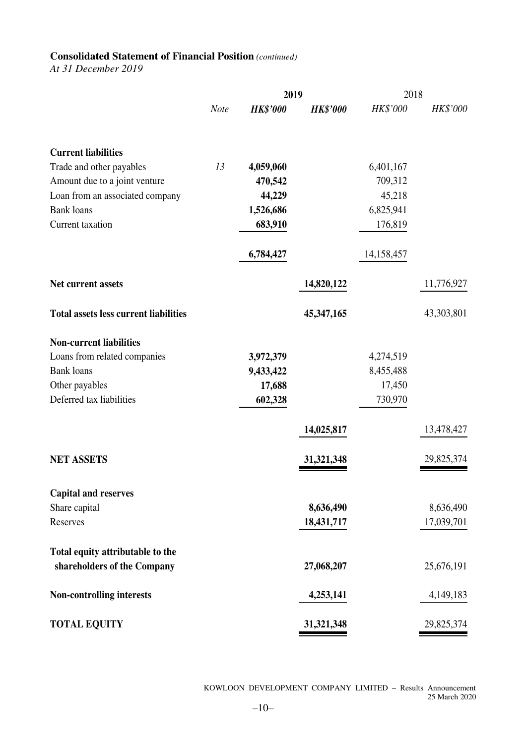### **Consolidated Statement of Financial Position** *(continued)*

*At 31 December 2019* 

|                                              |             | 2019            |                 |            | 2018        |  |  |
|----------------------------------------------|-------------|-----------------|-----------------|------------|-------------|--|--|
|                                              | <b>Note</b> | <b>HK\$'000</b> | <b>HK\$'000</b> | HK\$'000   | HK\$'000    |  |  |
| <b>Current liabilities</b>                   |             |                 |                 |            |             |  |  |
| Trade and other payables                     | 13          | 4,059,060       |                 | 6,401,167  |             |  |  |
| Amount due to a joint venture                |             | 470,542         |                 | 709,312    |             |  |  |
| Loan from an associated company              |             | 44,229          |                 | 45,218     |             |  |  |
| <b>Bank</b> loans                            |             | 1,526,686       |                 | 6,825,941  |             |  |  |
| Current taxation                             |             | 683,910         |                 | 176,819    |             |  |  |
|                                              |             | 6,784,427       |                 | 14,158,457 |             |  |  |
| Net current assets                           |             |                 | 14,820,122      |            | 11,776,927  |  |  |
| <b>Total assets less current liabilities</b> |             |                 | 45,347,165      |            | 43,303,801  |  |  |
| <b>Non-current liabilities</b>               |             |                 |                 |            |             |  |  |
| Loans from related companies                 |             | 3,972,379       |                 | 4,274,519  |             |  |  |
| <b>Bank</b> loans                            |             | 9,433,422       |                 | 8,455,488  |             |  |  |
| Other payables                               |             | 17,688          |                 | 17,450     |             |  |  |
| Deferred tax liabilities                     |             | 602,328         |                 | 730,970    |             |  |  |
|                                              |             |                 | 14,025,817      |            | 13,478,427  |  |  |
| <b>NET ASSETS</b>                            |             |                 | 31, 321, 348    |            | 29,825,374  |  |  |
| <b>Capital and reserves</b>                  |             |                 |                 |            |             |  |  |
| Share capital                                |             |                 | 8,636,490       |            | 8,636,490   |  |  |
| Reserves                                     |             |                 | 18,431,717      |            | 17,039,701  |  |  |
| Total equity attributable to the             |             |                 |                 |            |             |  |  |
| shareholders of the Company                  |             |                 | 27,068,207      |            | 25,676,191  |  |  |
| Non-controlling interests                    |             |                 | 4,253,141       |            | 4, 149, 183 |  |  |
| <b>TOTAL EQUITY</b>                          |             |                 | 31, 321, 348    |            | 29,825,374  |  |  |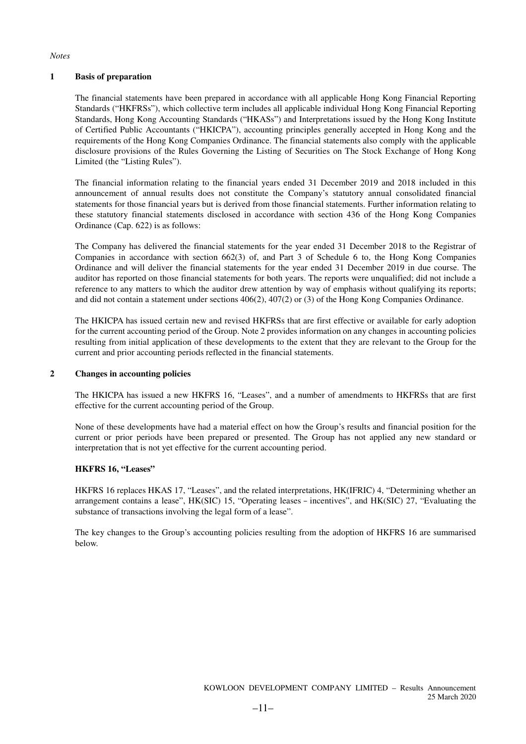*Notes* 

#### **1 Basis of preparation**

The financial statements have been prepared in accordance with all applicable Hong Kong Financial Reporting Standards ("HKFRSs"), which collective term includes all applicable individual Hong Kong Financial Reporting Standards, Hong Kong Accounting Standards ("HKASs") and Interpretations issued by the Hong Kong Institute of Certified Public Accountants ("HKICPA"), accounting principles generally accepted in Hong Kong and the requirements of the Hong Kong Companies Ordinance. The financial statements also comply with the applicable disclosure provisions of the Rules Governing the Listing of Securities on The Stock Exchange of Hong Kong Limited (the "Listing Rules").

The financial information relating to the financial years ended 31 December 2019 and 2018 included in this announcement of annual results does not constitute the Company's statutory annual consolidated financial statements for those financial years but is derived from those financial statements. Further information relating to these statutory financial statements disclosed in accordance with section 436 of the Hong Kong Companies Ordinance (Cap. 622) is as follows:

The Company has delivered the financial statements for the year ended 31 December 2018 to the Registrar of Companies in accordance with section 662(3) of, and Part 3 of Schedule 6 to, the Hong Kong Companies Ordinance and will deliver the financial statements for the year ended 31 December 2019 in due course. The auditor has reported on those financial statements for both years. The reports were unqualified; did not include a reference to any matters to which the auditor drew attention by way of emphasis without qualifying its reports; and did not contain a statement under sections 406(2), 407(2) or (3) of the Hong Kong Companies Ordinance.

The HKICPA has issued certain new and revised HKFRSs that are first effective or available for early adoption for the current accounting period of the Group. Note 2 provides information on any changes in accounting policies resulting from initial application of these developments to the extent that they are relevant to the Group for the current and prior accounting periods reflected in the financial statements.

#### **2 Changes in accounting policies**

The HKICPA has issued a new HKFRS 16, "Leases", and a number of amendments to HKFRSs that are first effective for the current accounting period of the Group.

None of these developments have had a material effect on how the Group's results and financial position for the current or prior periods have been prepared or presented. The Group has not applied any new standard or interpretation that is not yet effective for the current accounting period.

#### **HKFRS 16, "Leases"**

HKFRS 16 replaces HKAS 17, "Leases", and the related interpretations, HK(IFRIC) 4, "Determining whether an arrangement contains a lease", HK(SIC) 15, "Operating leases–incentives", and HK(SIC) 27, "Evaluating the substance of transactions involving the legal form of a lease".

The key changes to the Group's accounting policies resulting from the adoption of HKFRS 16 are summarised below.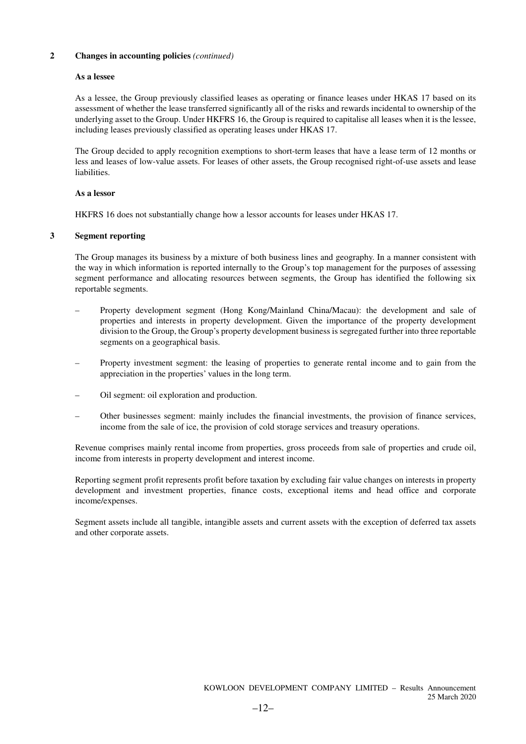#### **2 Changes in accounting policies** *(continued)*

#### **As a lessee**

As a lessee, the Group previously classified leases as operating or finance leases under HKAS 17 based on its assessment of whether the lease transferred significantly all of the risks and rewards incidental to ownership of the underlying asset to the Group. Under HKFRS 16, the Group is required to capitalise all leases when it is the lessee, including leases previously classified as operating leases under HKAS 17.

The Group decided to apply recognition exemptions to short-term leases that have a lease term of 12 months or less and leases of low-value assets. For leases of other assets, the Group recognised right-of-use assets and lease liabilities.

#### **As a lessor**

HKFRS 16 does not substantially change how a lessor accounts for leases under HKAS 17.

#### **3 Segment reporting**

The Group manages its business by a mixture of both business lines and geography. In a manner consistent with the way in which information is reported internally to the Group's top management for the purposes of assessing segment performance and allocating resources between segments, the Group has identified the following six reportable segments.

- Property development segment (Hong Kong/Mainland China/Macau): the development and sale of properties and interests in property development. Given the importance of the property development division to the Group, the Group's property development business is segregated further into three reportable segments on a geographical basis.
- Property investment segment: the leasing of properties to generate rental income and to gain from the appreciation in the properties' values in the long term.
- Oil segment: oil exploration and production.
- Other businesses segment: mainly includes the financial investments, the provision of finance services, income from the sale of ice, the provision of cold storage services and treasury operations.

Revenue comprises mainly rental income from properties, gross proceeds from sale of properties and crude oil, income from interests in property development and interest income.

Reporting segment profit represents profit before taxation by excluding fair value changes on interests in property development and investment properties, finance costs, exceptional items and head office and corporate income/expenses.

Segment assets include all tangible, intangible assets and current assets with the exception of deferred tax assets and other corporate assets.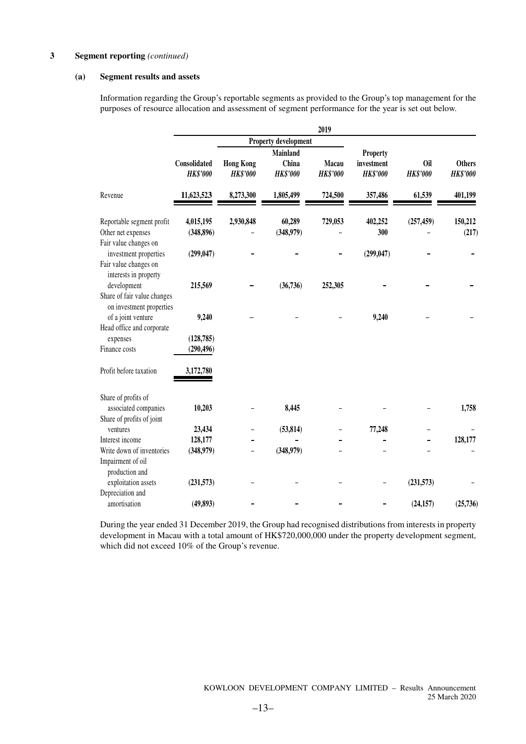#### **(a) Segment results and assets**

Information regarding the Group's reportable segments as provided to the Group's top management for the purposes of resource allocation and assessment of segment performance for the year is set out below.

|                                                                              |                                   |                                     |                                      | 2019                     |                                           |                               |                                  |
|------------------------------------------------------------------------------|-----------------------------------|-------------------------------------|--------------------------------------|--------------------------|-------------------------------------------|-------------------------------|----------------------------------|
|                                                                              |                                   |                                     | Property development                 |                          |                                           |                               |                                  |
|                                                                              | Consolidated<br><b>HK\$'000</b>   | <b>Hong Kong</b><br><b>HK\$'000</b> | Mainland<br>China<br><b>HK\$'000</b> | Macau<br><b>HK\$'000</b> | Property<br>investment<br><b>HK\$'000</b> | <b>Oil</b><br><b>HK\$'000</b> | <b>Others</b><br><b>HK\$'000</b> |
| Revenue                                                                      | 11,623,523                        | 8,273,300                           | 1,805,499                            | 724,500                  | 357,486                                   | 61,539                        | 401,199                          |
| Reportable segment profit<br>Other net expenses<br>Fair value changes on     | 4,015,195<br>(348, 896)           | 2,930,848                           | 60,289<br>(348,979)                  | 729,053                  | 402,252<br>300                            | (257, 459)                    | 150,212<br>(217)                 |
| investment properties<br>Fair value changes on<br>interests in property      | (299, 047)                        |                                     |                                      |                          | (299, 047)                                |                               |                                  |
| development<br>Share of fair value changes<br>on investment properties       | 215,569                           |                                     | (36, 736)                            | 252,305                  |                                           |                               |                                  |
| of a joint venture<br>Head office and corporate<br>expenses<br>Finance costs | 9,240<br>(128, 785)<br>(290, 496) |                                     |                                      |                          | 9,240                                     |                               |                                  |
| Profit before taxation                                                       | 3,172,780                         |                                     |                                      |                          |                                           |                               |                                  |
| Share of profits of<br>associated companies                                  | 10,203                            |                                     | 8,445                                |                          |                                           |                               | 1,758                            |
| Share of profits of joint<br>ventures                                        | 23,434                            |                                     | (53, 814)                            |                          | 77,248                                    |                               |                                  |
| Interest income                                                              | 128,177                           |                                     |                                      |                          |                                           |                               | 128,177                          |
| Write down of inventories<br>Impairment of oil<br>production and             | (348,979)                         |                                     | (348,979)                            |                          |                                           |                               |                                  |
| exploitation assets<br>Depreciation and                                      | (231, 573)                        |                                     |                                      |                          |                                           | (231,573)                     |                                  |
| amortisation                                                                 | (49, 893)                         |                                     |                                      |                          |                                           | (24, 157)                     | (25, 736)                        |

During the year ended 31 December 2019, the Group had recognised distributions from interests in property development in Macau with a total amount of HK\$720,000,000 under the property development segment, which did not exceed 10% of the Group's revenue.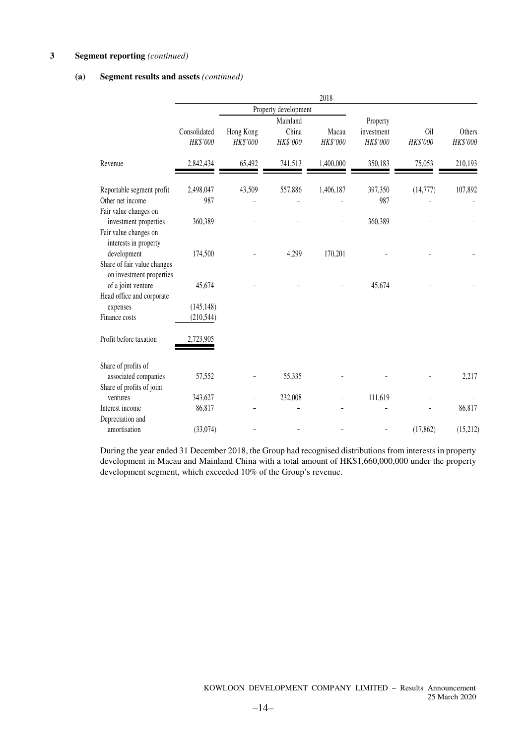#### **(a) Segment results and assets** *(continued)*

|                                                         |                          |                       |                               | 2018              |                                    |                 |                    |
|---------------------------------------------------------|--------------------------|-----------------------|-------------------------------|-------------------|------------------------------------|-----------------|--------------------|
|                                                         |                          |                       | Property development          |                   |                                    |                 |                    |
|                                                         | Consolidated<br>HK\$'000 | Hong Kong<br>HK\$'000 | Mainland<br>China<br>HK\$'000 | Macau<br>HK\$'000 | Property<br>investment<br>HK\$'000 | 0il<br>HK\$'000 | Others<br>HK\$'000 |
| Revenue                                                 | 2,842,434                | 65,492                | 741,513                       | 1,400,000         | 350,183                            | 75,053          | 210,193            |
| Reportable segment profit                               | 2,498,047                | 43,509                | 557,886                       | 1,406,187         | 397,350                            | (14, 777)       | 107,892            |
| Other net income                                        | 987                      |                       |                               |                   | 987                                |                 |                    |
| Fair value changes on                                   |                          |                       |                               |                   |                                    |                 |                    |
| investment properties                                   | 360,389                  |                       |                               |                   | 360,389                            |                 |                    |
| Fair value changes on<br>interests in property          |                          |                       |                               |                   |                                    |                 |                    |
| development                                             | 174,500                  |                       | 4,299                         | 170,201           |                                    |                 |                    |
| Share of fair value changes<br>on investment properties |                          |                       |                               |                   |                                    |                 |                    |
| of a joint venture                                      | 45,674                   |                       |                               |                   | 45,674                             |                 |                    |
| Head office and corporate                               |                          |                       |                               |                   |                                    |                 |                    |
| expenses                                                | (145, 148)               |                       |                               |                   |                                    |                 |                    |
| Finance costs                                           | (210, 544)               |                       |                               |                   |                                    |                 |                    |
| Profit before taxation                                  | 2,723,905                |                       |                               |                   |                                    |                 |                    |
| Share of profits of                                     |                          |                       |                               |                   |                                    |                 |                    |
| associated companies                                    | 57,552                   |                       | 55,335                        |                   |                                    |                 | 2,217              |
| Share of profits of joint                               |                          |                       |                               |                   |                                    |                 |                    |
| ventures                                                | 343,627                  |                       | 232,008                       |                   | 111,619                            |                 |                    |
| Interest income                                         | 86,817                   |                       |                               |                   |                                    |                 | 86,817             |
| Depreciation and                                        |                          |                       |                               |                   |                                    |                 |                    |
| amortisation                                            | (33,074)                 |                       |                               |                   |                                    | (17, 862)       | (15,212)           |

During the year ended 31 December 2018, the Group had recognised distributions from interests in property development in Macau and Mainland China with a total amount of HK\$1,660,000,000 under the property development segment, which exceeded 10% of the Group's revenue.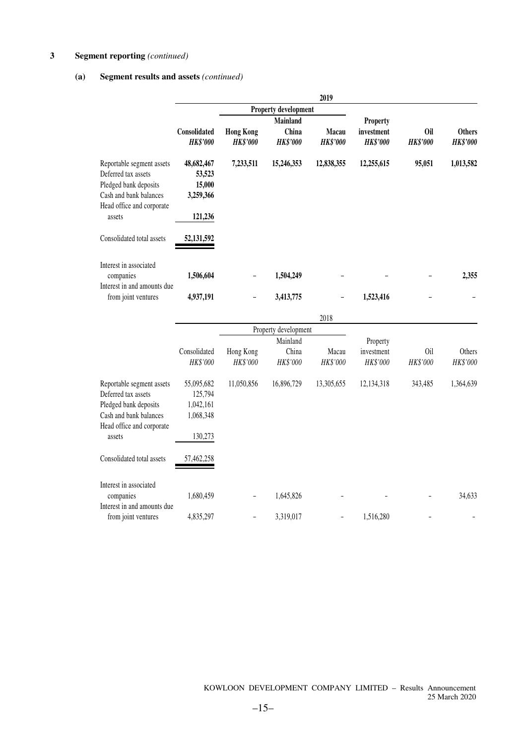### **(a) Segment results and assets** *(continued)*

|                                                                                                                                            | 2019                                                   |                                     |                                             |                          |                                                  |                        |                                  |  |
|--------------------------------------------------------------------------------------------------------------------------------------------|--------------------------------------------------------|-------------------------------------|---------------------------------------------|--------------------------|--------------------------------------------------|------------------------|----------------------------------|--|
|                                                                                                                                            |                                                        |                                     | <b>Property development</b>                 |                          |                                                  |                        |                                  |  |
|                                                                                                                                            | <b>Consolidated</b><br><b>HK\$'000</b>                 | <b>Hong Kong</b><br><b>HK\$'000</b> | <b>Mainland</b><br>China<br><b>HK\$'000</b> | Macau<br><b>HK\$'000</b> | <b>Property</b><br>investment<br><b>HK\$'000</b> | 0il<br><b>HK\$'000</b> | <b>Others</b><br><b>HK\$'000</b> |  |
| Reportable segment assets<br>Deferred tax assets<br>Pledged bank deposits<br>Cash and bank balances<br>Head office and corporate<br>assets | 48,682,467<br>53,523<br>15,000<br>3,259,366<br>121,236 | 7,233,511                           | 15,246,353                                  | 12,838,355               | 12,255,615                                       | 95,051                 | 1,013,582                        |  |
| Consolidated total assets                                                                                                                  | 52, 131, 592                                           |                                     |                                             |                          |                                                  |                        |                                  |  |
| Interest in associated<br>companies<br>Interest in and amounts due<br>from joint ventures                                                  | 1,506,604<br>4,937,191                                 | ۰.                                  | 1,504,249<br>3,413,775                      |                          | 1,523,416                                        |                        | 2,355                            |  |
|                                                                                                                                            |                                                        |                                     |                                             |                          |                                                  |                        |                                  |  |

|                                                                                                                                            |                                                            |                       |                               | 2018                     |                                    |                 |                    |
|--------------------------------------------------------------------------------------------------------------------------------------------|------------------------------------------------------------|-----------------------|-------------------------------|--------------------------|------------------------------------|-----------------|--------------------|
|                                                                                                                                            |                                                            |                       | Property development          |                          |                                    |                 |                    |
|                                                                                                                                            | Consolidated<br>HK\$'000                                   | Hong Kong<br>HK\$'000 | Mainland<br>China<br>HK\$'000 | Macau<br><b>HK\$'000</b> | Property<br>investment<br>HK\$'000 | 0il<br>HK\$'000 | Others<br>HK\$'000 |
| Reportable segment assets<br>Deferred tax assets<br>Pledged bank deposits<br>Cash and bank balances<br>Head office and corporate<br>assets | 55,095,682<br>125,794<br>1,042,161<br>1,068,348<br>130,273 | 11,050,856            | 16,896,729                    | 13,305,655               | 12,134,318                         | 343,485         | 1,364,639          |
| Consolidated total assets                                                                                                                  | 57,462,258                                                 |                       |                               |                          |                                    |                 |                    |
| Interest in associated<br>companies<br>Interest in and amounts due                                                                         | 1,680,459                                                  |                       | 1,645,826                     |                          |                                    |                 | 34,633             |
| from joint ventures                                                                                                                        | 4,835,297                                                  |                       | 3,319,017                     |                          | 1,516,280                          |                 |                    |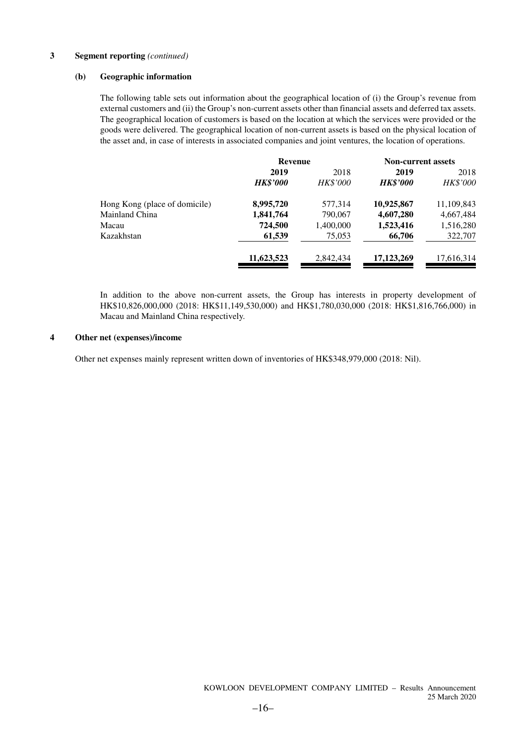#### **(b) Geographic information**

The following table sets out information about the geographical location of (i) the Group's revenue from external customers and (ii) the Group's non-current assets other than financial assets and deferred tax assets. The geographical location of customers is based on the location at which the services were provided or the goods were delivered. The geographical location of non-current assets is based on the physical location of the asset and, in case of interests in associated companies and joint ventures, the location of operations.

|                               | <b>Revenue</b>  |                 |                 | <b>Non-current assets</b> |  |
|-------------------------------|-----------------|-----------------|-----------------|---------------------------|--|
|                               | 2019            | 2018            | 2019            | 2018                      |  |
|                               | <b>HK\$'000</b> | <b>HK\$'000</b> | <b>HK\$'000</b> | <b>HK\$'000</b>           |  |
| Hong Kong (place of domicile) | 8,995,720       | 577,314         | 10,925,867      | 11,109,843                |  |
| Mainland China                | 1,841,764       | 790,067         | 4,607,280       | 4,667,484                 |  |
| Macau                         | 724,500         | 1,400,000       | 1,523,416       | 1,516,280                 |  |
| Kazakhstan                    | 61,539          | 75,053          | 66,706          | 322,707                   |  |
|                               | 11,623,523      | 2,842,434       | 17, 123, 269    | 17,616,314                |  |

In addition to the above non-current assets, the Group has interests in property development of HK\$10,826,000,000 (2018: HK\$11,149,530,000) and HK\$1,780,030,000 (2018: HK\$1,816,766,000) in Macau and Mainland China respectively.

#### **4 Other net (expenses)/income**

Other net expenses mainly represent written down of inventories of HK\$348,979,000 (2018: Nil).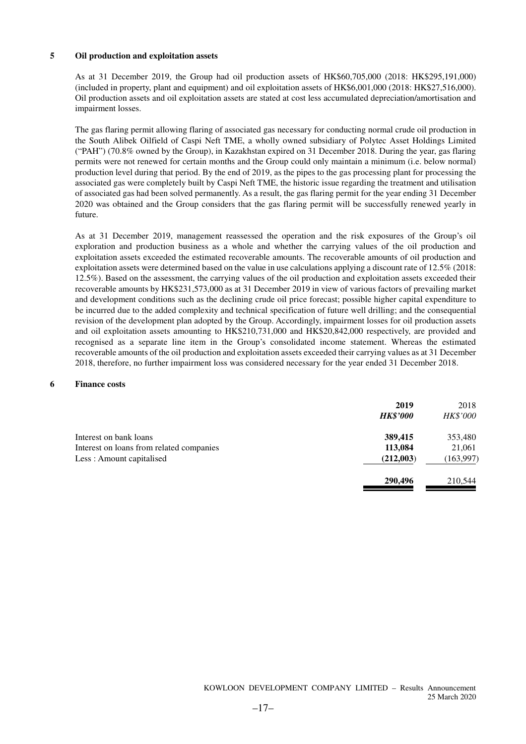#### **5 Oil production and exploitation assets**

As at 31 December 2019, the Group had oil production assets of HK\$60,705,000 (2018: HK\$295,191,000) (included in property, plant and equipment) and oil exploitation assets of HK\$6,001,000 (2018: HK\$27,516,000). Oil production assets and oil exploitation assets are stated at cost less accumulated depreciation/amortisation and impairment losses.

The gas flaring permit allowing flaring of associated gas necessary for conducting normal crude oil production in the South Alibek Oilfield of Caspi Neft TME, a wholly owned subsidiary of Polytec Asset Holdings Limited ("PAH") (70.8% owned by the Group), in Kazakhstan expired on 31 December 2018. During the year, gas flaring permits were not renewed for certain months and the Group could only maintain a minimum (i.e. below normal) production level during that period. By the end of 2019, as the pipes to the gas processing plant for processing the associated gas were completely built by Caspi Neft TME, the historic issue regarding the treatment and utilisation of associated gas had been solved permanently. As a result, the gas flaring permit for the year ending 31 December 2020 was obtained and the Group considers that the gas flaring permit will be successfully renewed yearly in future.

As at 31 December 2019, management reassessed the operation and the risk exposures of the Group's oil exploration and production business as a whole and whether the carrying values of the oil production and exploitation assets exceeded the estimated recoverable amounts. The recoverable amounts of oil production and exploitation assets were determined based on the value in use calculations applying a discount rate of 12.5% (2018: 12.5%). Based on the assessment, the carrying values of the oil production and exploitation assets exceeded their recoverable amounts by HK\$231,573,000 as at 31 December 2019 in view of various factors of prevailing market and development conditions such as the declining crude oil price forecast; possible higher capital expenditure to be incurred due to the added complexity and technical specification of future well drilling; and the consequential revision of the development plan adopted by the Group. Accordingly, impairment losses for oil production assets and oil exploitation assets amounting to HK\$210,731,000 and HK\$20,842,000 respectively, are provided and recognised as a separate line item in the Group's consolidated income statement. Whereas the estimated recoverable amounts of the oil production and exploitation assets exceeded their carrying values as at 31 December 2018, therefore, no further impairment loss was considered necessary for the year ended 31 December 2018.

#### **6 Finance costs**

|                                                                      | 2019<br><b>HK\$'000</b> | 2018<br><b>HK\$'000</b> |
|----------------------------------------------------------------------|-------------------------|-------------------------|
| Interest on bank loans                                               | 389,415                 | 353,480                 |
| Interest on loans from related companies<br>Less: Amount capitalised | 113,084<br>(212,003)    | 21,061<br>(163,997)     |
|                                                                      | 290,496                 | 210,544                 |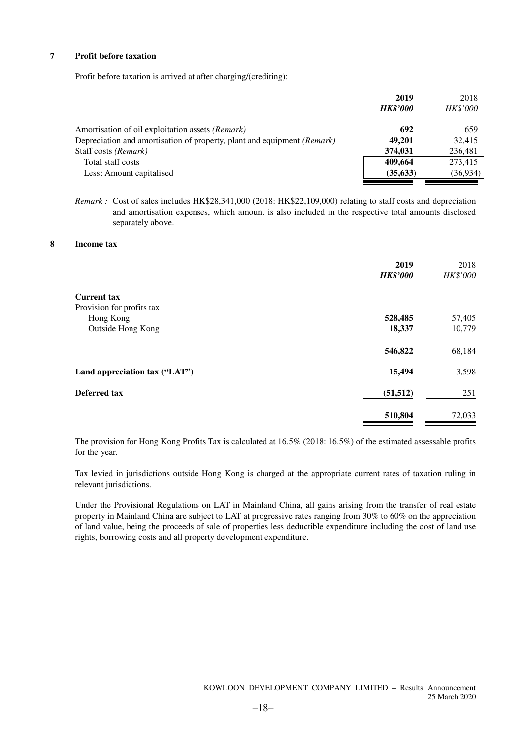#### **7 Profit before taxation**

Profit before taxation is arrived at after charging/(crediting):

|                                                                         | 2019<br><b>HK\$'000</b> | 2018<br><b>HK\$'000</b> |
|-------------------------------------------------------------------------|-------------------------|-------------------------|
| Amortisation of oil exploitation assets (Remark)                        | 692                     | 659                     |
| Depreciation and amortisation of property, plant and equipment (Remark) | 49.201                  | 32.415                  |
| Staff costs (Remark)                                                    | 374,031                 | 236,481                 |
| Total staff costs                                                       | 409.664                 | 273,415                 |
| Less: Amount capitalised                                                | (35, 633)               | (36, 934)               |

*Remark :* Cost of sales includes HK\$28,341,000 (2018: HK\$22,109,000) relating to staff costs and depreciation and amortisation expenses, which amount is also included in the respective total amounts disclosed separately above.

#### **8 Income tax**

|                                               | 2019<br><b>HK\$'000</b> | 2018<br>HK\$'000 |
|-----------------------------------------------|-------------------------|------------------|
| <b>Current tax</b>                            |                         |                  |
| Provision for profits tax                     |                         |                  |
| Hong Kong<br>$\equiv$ .                       | 528,485                 | 57,405           |
| Outside Hong Kong<br>$\overline{\phantom{m}}$ | 18,337                  | 10,779           |
|                                               | 546,822                 | 68,184           |
| Land appreciation tax ("LAT")                 | 15,494                  | 3,598            |
| Deferred tax                                  | (51, 512)               | 251              |
|                                               | 510,804                 | 72,033           |

The provision for Hong Kong Profits Tax is calculated at 16.5% (2018: 16.5%) of the estimated assessable profits for the year.

Tax levied in jurisdictions outside Hong Kong is charged at the appropriate current rates of taxation ruling in relevant jurisdictions.

Under the Provisional Regulations on LAT in Mainland China, all gains arising from the transfer of real estate property in Mainland China are subject to LAT at progressive rates ranging from 30% to 60% on the appreciation of land value, being the proceeds of sale of properties less deductible expenditure including the cost of land use rights, borrowing costs and all property development expenditure.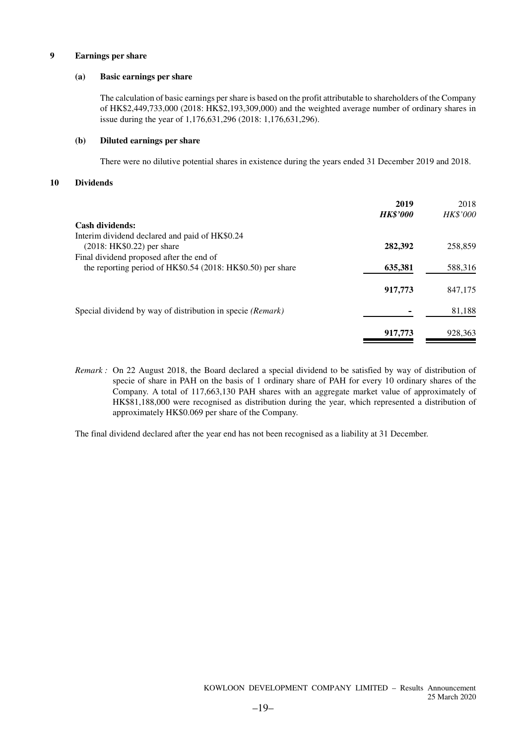#### **9 Earnings per share**

#### **(a) Basic earnings per share**

The calculation of basic earnings per share is based on the profit attributable to shareholders of the Company of HK\$2,449,733,000 (2018: HK\$2,193,309,000) and the weighted average number of ordinary shares in issue during the year of 1,176,631,296 (2018: 1,176,631,296).

#### **(b) Diluted earnings per share**

There were no dilutive potential shares in existence during the years ended 31 December 2019 and 2018.

#### **10 Dividends**

|                                                             | 2019<br><b>HK\$'000</b> | 2018<br><b>HK\$'000</b> |
|-------------------------------------------------------------|-------------------------|-------------------------|
| <b>Cash dividends:</b>                                      |                         |                         |
| Interim dividend declared and paid of HK\$0.24              |                         |                         |
| $(2018: HK$0.22)$ per share                                 | 282,392                 | 258,859                 |
| Final dividend proposed after the end of                    |                         |                         |
| the reporting period of HK\$0.54 (2018: HK\$0.50) per share | 635,381                 | 588,316                 |
|                                                             |                         |                         |
|                                                             | 917,773                 | 847,175                 |
|                                                             |                         |                         |
| Special dividend by way of distribution in specie (Remark)  |                         | 81,188                  |
|                                                             |                         |                         |
|                                                             | 917,773                 | 928,363                 |

*Remark :* On 22 August 2018, the Board declared a special dividend to be satisfied by way of distribution of specie of share in PAH on the basis of 1 ordinary share of PAH for every 10 ordinary shares of the Company. A total of 117,663,130 PAH shares with an aggregate market value of approximately of HK\$81,188,000 were recognised as distribution during the year, which represented a distribution of approximately HK\$0.069 per share of the Company.

The final dividend declared after the year end has not been recognised as a liability at 31 December.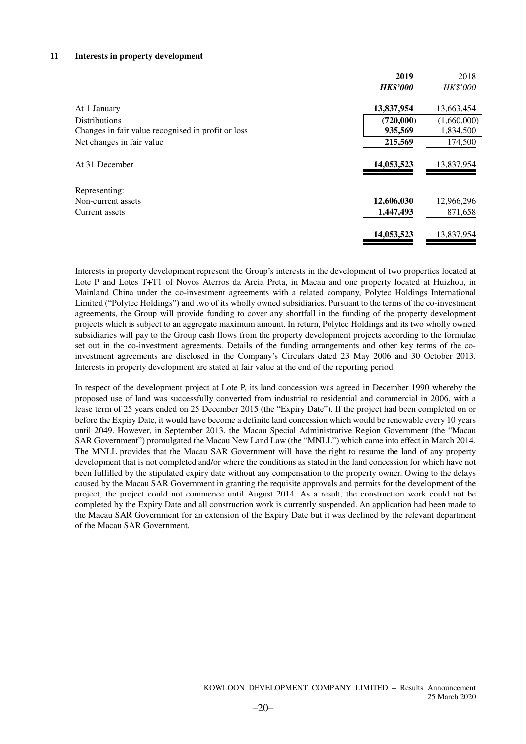#### **11 Interests in property development**

|                                                    | 2019            | 2018            |
|----------------------------------------------------|-----------------|-----------------|
|                                                    | <b>HK\$'000</b> | <b>HK\$'000</b> |
| At 1 January                                       | 13,837,954      | 13,663,454      |
| <b>Distributions</b>                               | (720,000)       | (1,660,000)     |
| Changes in fair value recognised in profit or loss | 935,569         | 1,834,500       |
| Net changes in fair value                          | 215,569         | 174,500         |
| At 31 December                                     | 14,053,523      | 13,837,954      |
| Representing:                                      |                 |                 |
| Non-current assets                                 | 12,606,030      | 12,966,296      |
| Current assets                                     | 1,447,493       | 871,658         |
|                                                    | 14,053,523      | 13,837,954      |
|                                                    |                 |                 |

Interests in property development represent the Group's interests in the development of two properties located at Lote P and Lotes T+T1 of Novos Aterros da Areia Preta, in Macau and one property located at Huizhou, in Mainland China under the co-investment agreements with a related company, Polytec Holdings International Limited ("Polytec Holdings") and two of its wholly owned subsidiaries. Pursuant to the terms of the co-investment agreements, the Group will provide funding to cover any shortfall in the funding of the property development projects which is subject to an aggregate maximum amount. In return, Polytec Holdings and its two wholly owned subsidiaries will pay to the Group cash flows from the property development projects according to the formulae set out in the co-investment agreements. Details of the funding arrangements and other key terms of the coinvestment agreements are disclosed in the Company's Circulars dated 23 May 2006 and 30 October 2013. Interests in property development are stated at fair value at the end of the reporting period.

In respect of the development project at Lote P, its land concession was agreed in December 1990 whereby the proposed use of land was successfully converted from industrial to residential and commercial in 2006, with a lease term of 25 years ended on 25 December 2015 (the "Expiry Date"). If the project had been completed on or before the Expiry Date, it would have become a definite land concession which would be renewable every 10 years until 2049. However, in September 2013, the Macau Special Administrative Region Government (the "Macau SAR Government") promulgated the Macau New Land Law (the "MNLL") which came into effect in March 2014. The MNLL provides that the Macau SAR Government will have the right to resume the land of any property development that is not completed and/or where the conditions as stated in the land concession for which have not been fulfilled by the stipulated expiry date without any compensation to the property owner. Owing to the delays caused by the Macau SAR Government in granting the requisite approvals and permits for the development of the project, the project could not commence until August 2014. As a result, the construction work could not be completed by the Expiry Date and all construction work is currently suspended. An application had been made to the Macau SAR Government for an extension of the Expiry Date but it was declined by the relevant department of the Macau SAR Government.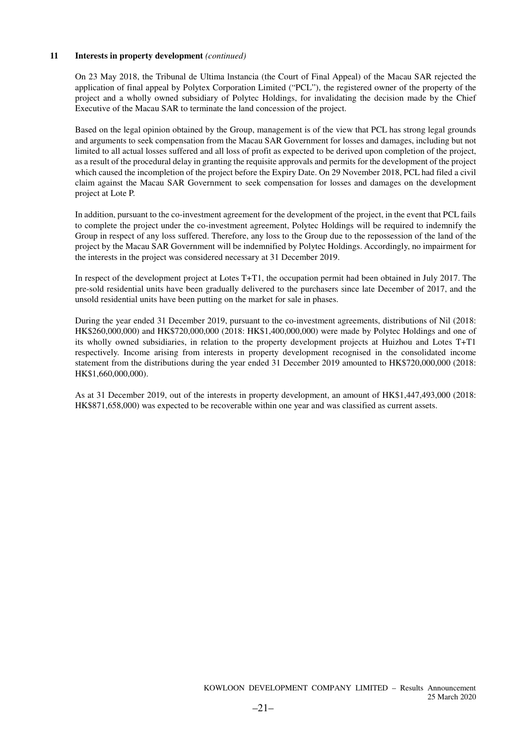#### **11 Interests in property development** *(continued)*

On 23 May 2018, the Tribunal de Ultima lnstancia (the Court of Final Appeal) of the Macau SAR rejected the application of final appeal by Polytex Corporation Limited ("PCL"), the registered owner of the property of the project and a wholly owned subsidiary of Polytec Holdings, for invalidating the decision made by the Chief Executive of the Macau SAR to terminate the land concession of the project.

Based on the legal opinion obtained by the Group, management is of the view that PCL has strong legal grounds and arguments to seek compensation from the Macau SAR Government for losses and damages, including but not limited to all actual losses suffered and all loss of profit as expected to be derived upon completion of the project, as a result of the procedural delay in granting the requisite approvals and permits for the development of the project which caused the incompletion of the project before the Expiry Date. On 29 November 2018, PCL had filed a civil claim against the Macau SAR Government to seek compensation for losses and damages on the development project at Lote P.

In addition, pursuant to the co-investment agreement for the development of the project, in the event that PCL fails to complete the project under the co-investment agreement, Polytec Holdings will be required to indemnify the Group in respect of any loss suffered. Therefore, any loss to the Group due to the repossession of the land of the project by the Macau SAR Government will be indemnified by Polytec Holdings. Accordingly, no impairment for the interests in the project was considered necessary at 31 December 2019.

In respect of the development project at Lotes T+T1, the occupation permit had been obtained in July 2017. The pre-sold residential units have been gradually delivered to the purchasers since late December of 2017, and the unsold residential units have been putting on the market for sale in phases.

During the year ended 31 December 2019, pursuant to the co-investment agreements, distributions of Nil (2018: HK\$260,000,000) and HK\$720,000,000 (2018: HK\$1,400,000,000) were made by Polytec Holdings and one of its wholly owned subsidiaries, in relation to the property development projects at Huizhou and Lotes T+T1 respectively. Income arising from interests in property development recognised in the consolidated income statement from the distributions during the year ended 31 December 2019 amounted to HK\$720,000,000 (2018: HK\$1,660,000,000).

As at 31 December 2019, out of the interests in property development, an amount of HK\$1,447,493,000 (2018: HK\$871,658,000) was expected to be recoverable within one year and was classified as current assets.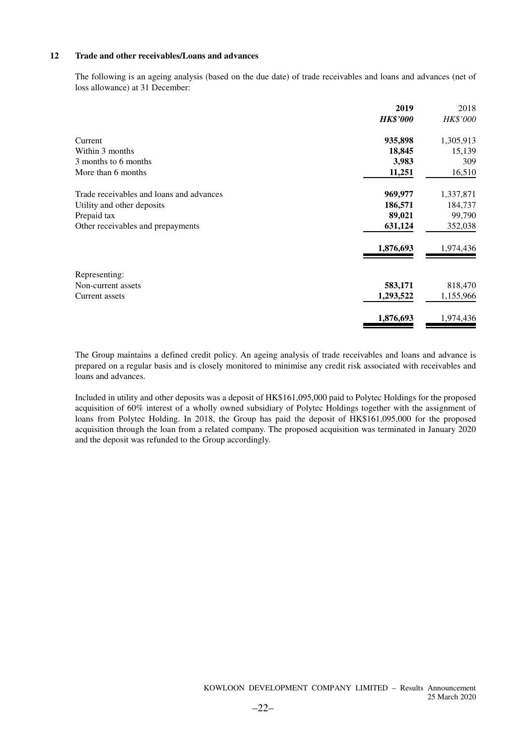#### **12 Trade and other receivables/Loans and advances**

The following is an ageing analysis (based on the due date) of trade receivables and loans and advances (net of loss allowance) at 31 December:

|                                          | 2019            | 2018      |
|------------------------------------------|-----------------|-----------|
|                                          | <b>HK\$'000</b> | HK\$'000  |
| Current                                  | 935,898         | 1,305,913 |
| Within 3 months                          | 18,845          | 15,139    |
| 3 months to 6 months                     | 3,983           | 309       |
| More than 6 months                       | 11,251          | 16,510    |
| Trade receivables and loans and advances | 969,977         | 1,337,871 |
| Utility and other deposits               | 186,571         | 184,737   |
| Prepaid tax                              | 89,021          | 99,790    |
| Other receivables and prepayments        | 631,124         | 352,038   |
|                                          | 1,876,693       | 1,974,436 |
| Representing:                            |                 |           |
| Non-current assets                       | 583,171         | 818,470   |
| <b>Current assets</b>                    | 1,293,522       | 1,155,966 |
|                                          | 1,876,693       | 1,974,436 |

The Group maintains a defined credit policy. An ageing analysis of trade receivables and loans and advance is prepared on a regular basis and is closely monitored to minimise any credit risk associated with receivables and loans and advances.

Included in utility and other deposits was a deposit of HK\$161,095,000 paid to Polytec Holdings for the proposed acquisition of 60% interest of a wholly owned subsidiary of Polytec Holdings together with the assignment of loans from Polytec Holding. In 2018, the Group has paid the deposit of HK\$161,095,000 for the proposed acquisition through the loan from a related company. The proposed acquisition was terminated in January 2020 and the deposit was refunded to the Group accordingly.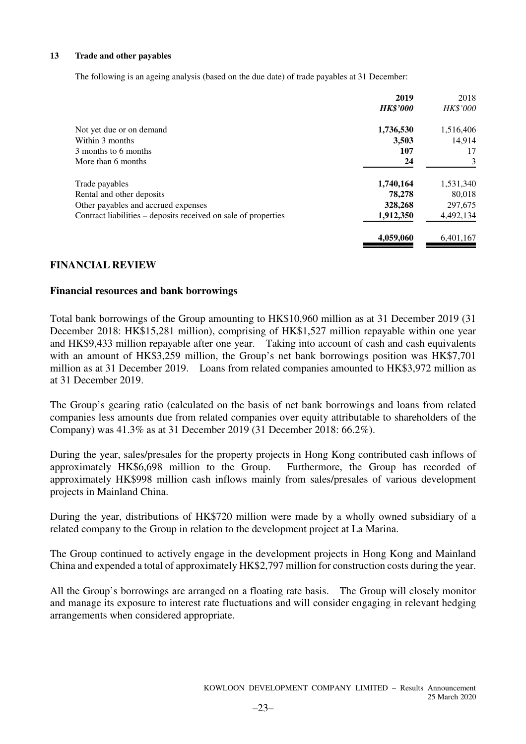#### **13 Trade and other payables**

The following is an ageing analysis (based on the due date) of trade payables at 31 December:

|                                                                | 2019            | 2018      |
|----------------------------------------------------------------|-----------------|-----------|
|                                                                | <b>HK\$'000</b> | HK\$'000  |
| Not yet due or on demand                                       | 1,736,530       | 1,516,406 |
| Within 3 months                                                | 3,503           | 14,914    |
| 3 months to 6 months                                           | 107             | 17        |
| More than 6 months                                             | 24              | 3         |
| Trade payables                                                 | 1,740,164       | 1,531,340 |
| Rental and other deposits                                      | 78,278          | 80,018    |
| Other payables and accrued expenses                            | 328,268         | 297,675   |
| Contract liabilities – deposits received on sale of properties | 1,912,350       | 4,492,134 |
|                                                                | 4,059,060       | 6,401,167 |

### **FINANCIAL REVIEW**

### **Financial resources and bank borrowings**

Total bank borrowings of the Group amounting to HK\$10,960 million as at 31 December 2019 (31 December 2018: HK\$15,281 million), comprising of HK\$1,527 million repayable within one year and HK\$9,433 million repayable after one year. Taking into account of cash and cash equivalents with an amount of HK\$3,259 million, the Group's net bank borrowings position was HK\$7,701 million as at 31 December 2019. Loans from related companies amounted to HK\$3,972 million as at 31 December 2019.

The Group's gearing ratio (calculated on the basis of net bank borrowings and loans from related companies less amounts due from related companies over equity attributable to shareholders of the Company) was 41.3% as at 31 December 2019 (31 December 2018: 66.2%).

During the year, sales/presales for the property projects in Hong Kong contributed cash inflows of approximately HK\$6,698 million to the Group. Furthermore, the Group has recorded of approximately HK\$998 million cash inflows mainly from sales/presales of various development projects in Mainland China.

During the year, distributions of HK\$720 million were made by a wholly owned subsidiary of a related company to the Group in relation to the development project at La Marina.

The Group continued to actively engage in the development projects in Hong Kong and Mainland China and expended a total of approximately HK\$2,797 million for construction costs during the year.

All the Group's borrowings are arranged on a floating rate basis. The Group will closely monitor and manage its exposure to interest rate fluctuations and will consider engaging in relevant hedging arrangements when considered appropriate.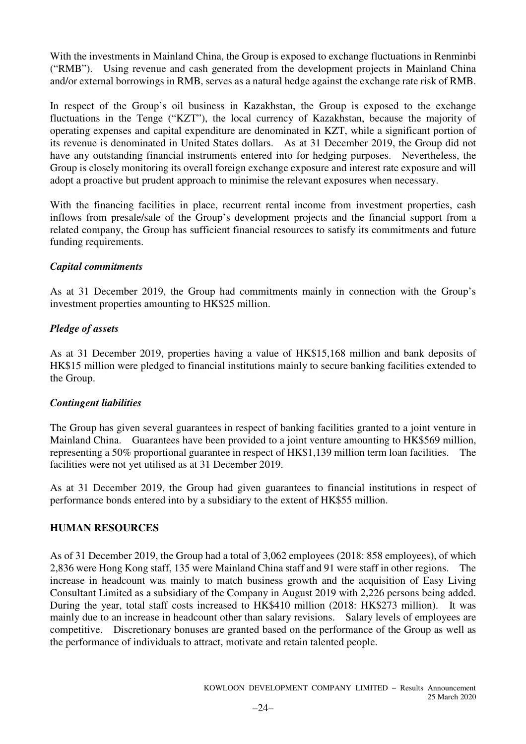With the investments in Mainland China, the Group is exposed to exchange fluctuations in Renminbi ("RMB"). Using revenue and cash generated from the development projects in Mainland China and/or external borrowings in RMB, serves as a natural hedge against the exchange rate risk of RMB.

In respect of the Group's oil business in Kazakhstan, the Group is exposed to the exchange fluctuations in the Tenge ("KZT"), the local currency of Kazakhstan, because the majority of operating expenses and capital expenditure are denominated in KZT, while a significant portion of its revenue is denominated in United States dollars. As at 31 December 2019, the Group did not have any outstanding financial instruments entered into for hedging purposes. Nevertheless, the Group is closely monitoring its overall foreign exchange exposure and interest rate exposure and will adopt a proactive but prudent approach to minimise the relevant exposures when necessary.

With the financing facilities in place, recurrent rental income from investment properties, cash inflows from presale/sale of the Group's development projects and the financial support from a related company, the Group has sufficient financial resources to satisfy its commitments and future funding requirements.

### *Capital commitments*

As at 31 December 2019, the Group had commitments mainly in connection with the Group's investment properties amounting to HK\$25 million.

### *Pledge of assets*

As at 31 December 2019, properties having a value of HK\$15,168 million and bank deposits of HK\$15 million were pledged to financial institutions mainly to secure banking facilities extended to the Group.

### *Contingent liabilities*

The Group has given several guarantees in respect of banking facilities granted to a joint venture in Mainland China. Guarantees have been provided to a joint venture amounting to HK\$569 million, representing a 50% proportional guarantee in respect of HK\$1,139 million term loan facilities. The facilities were not yet utilised as at 31 December 2019.

As at 31 December 2019, the Group had given guarantees to financial institutions in respect of performance bonds entered into by a subsidiary to the extent of HK\$55 million.

### **HUMAN RESOURCES**

As of 31 December 2019, the Group had a total of 3,062 employees (2018: 858 employees), of which 2,836 were Hong Kong staff, 135 were Mainland China staff and 91 were staff in other regions. The increase in headcount was mainly to match business growth and the acquisition of Easy Living Consultant Limited as a subsidiary of the Company in August 2019 with 2,226 persons being added. During the year, total staff costs increased to HK\$410 million (2018: HK\$273 million). It was mainly due to an increase in headcount other than salary revisions. Salary levels of employees are competitive. Discretionary bonuses are granted based on the performance of the Group as well as the performance of individuals to attract, motivate and retain talented people.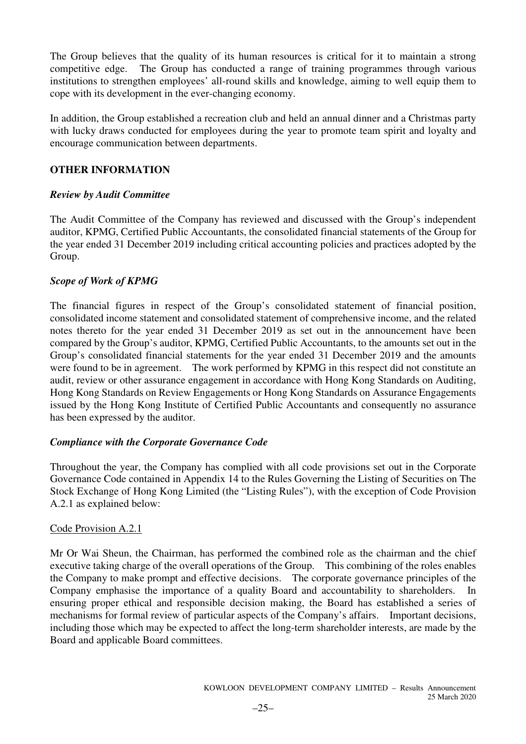The Group believes that the quality of its human resources is critical for it to maintain a strong competitive edge. The Group has conducted a range of training programmes through various institutions to strengthen employees' all-round skills and knowledge, aiming to well equip them to cope with its development in the ever-changing economy.

In addition, the Group established a recreation club and held an annual dinner and a Christmas party with lucky draws conducted for employees during the year to promote team spirit and loyalty and encourage communication between departments.

### **OTHER INFORMATION**

### *Review by Audit Committee*

The Audit Committee of the Company has reviewed and discussed with the Group's independent auditor, KPMG, Certified Public Accountants, the consolidated financial statements of the Group for the year ended 31 December 2019 including critical accounting policies and practices adopted by the Group.

### *Scope of Work of KPMG*

The financial figures in respect of the Group's consolidated statement of financial position, consolidated income statement and consolidated statement of comprehensive income, and the related notes thereto for the year ended 31 December 2019 as set out in the announcement have been compared by the Group's auditor, KPMG, Certified Public Accountants, to the amounts set out in the Group's consolidated financial statements for the year ended 31 December 2019 and the amounts were found to be in agreement. The work performed by KPMG in this respect did not constitute an audit, review or other assurance engagement in accordance with Hong Kong Standards on Auditing, Hong Kong Standards on Review Engagements or Hong Kong Standards on Assurance Engagements issued by the Hong Kong Institute of Certified Public Accountants and consequently no assurance has been expressed by the auditor.

### *Compliance with the Corporate Governance Code*

Throughout the year, the Company has complied with all code provisions set out in the Corporate Governance Code contained in Appendix 14 to the Rules Governing the Listing of Securities on The Stock Exchange of Hong Kong Limited (the "Listing Rules"), with the exception of Code Provision A.2.1 as explained below:

### Code Provision A.2.1

Mr Or Wai Sheun, the Chairman, has performed the combined role as the chairman and the chief executive taking charge of the overall operations of the Group. This combining of the roles enables the Company to make prompt and effective decisions. The corporate governance principles of the Company emphasise the importance of a quality Board and accountability to shareholders. ensuring proper ethical and responsible decision making, the Board has established a series of mechanisms for formal review of particular aspects of the Company's affairs. Important decisions, including those which may be expected to affect the long-term shareholder interests, are made by the Board and applicable Board committees.